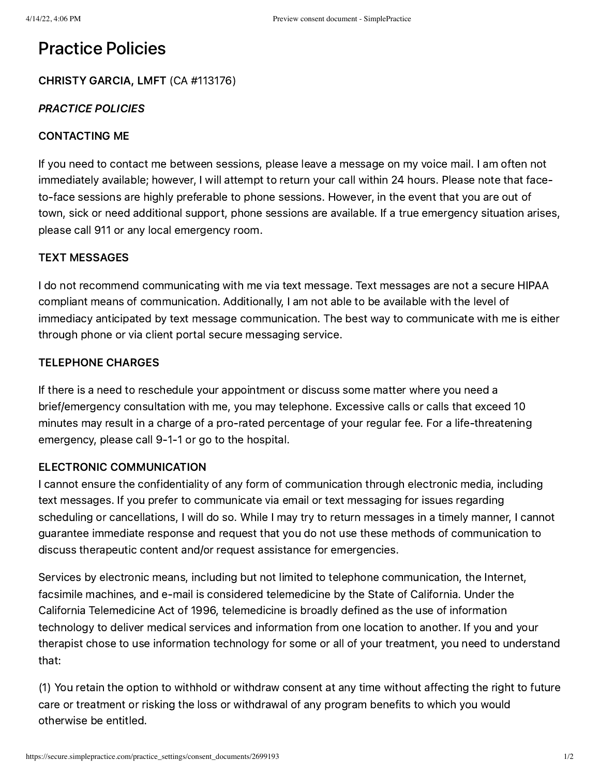# Practice Policies

## CHRISTY GARCIA, LMFT (CA #113176)

#### PRACTICE POLICIES

#### CONTACTING ME

If you need to contact me between sessions, please leave a message on my voice mail. I am often not immediately available; however, I will attempt to return your call within 24 hours. Please note that faceto-face sessions are highly preferable to phone sessions. However, in the event that you are out of town, sick or need additional support, phone sessions are available. If a true emergency situation arises, please call 911 or any local emergency room.

#### TEXT MESSAGES

I do not recommend communicating with me via text message. Text messages are not a secure HIPAA compliant means of communication. Additionally, I am not able to be available with the level of immediacy anticipated by text message communication. The best way to communicate with me is either through phone or via client portal secure messaging service.

#### TELEPHONE CHARGES

If there is a need to reschedule your appointment or discuss some matter where you need a brief/emergency consultation with me, you may telephone. Excessive calls or calls that exceed 10 minutes may result in a charge of a pro-rated percentage of your regular fee. For a life-threatening emergency, please call 9-1-1 or go to the hospital.

### ELECTRONIC COMMUNICATION

I cannot ensure the confidentiality of any form of communication through electronic media, including text messages. If you prefer to communicate via email or text messaging for issues regarding scheduling or cancellations, I will do so. While I may try to return messages in a timely manner, I cannot guarantee immediate response and request that you do not use these methods of communication to discuss therapeutic content and/or request assistance for emergencies.

Services by electronic means, including but not limited to telephone communication, the Internet, facsimile machines, and e-mail is considered telemedicine by the State of California. Under the California Telemedicine Act of 1996, telemedicine is broadly defined as the use of information technology to deliver medical services and information from one location to another. If you and your therapist chose to use information technology for some or all of your treatment, you need to understand that:

(1) You retain the option to withhold or withdraw consent at any time without affecting the right to future care or treatment or risking the loss or withdrawal of any program benefits to which you would otherwise be entitled.